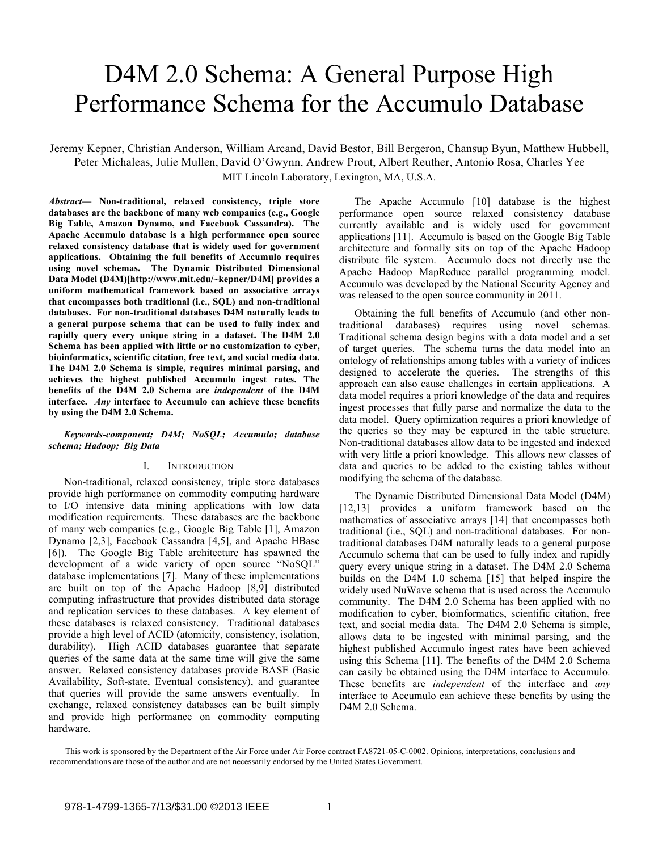# D4M 2.0 Schema: A General Purpose High Performance Schema for the Accumulo Database

Jeremy Kepner, Christian Anderson, William Arcand, David Bestor, Bill Bergeron, Chansup Byun, Matthew Hubbell, Peter Michaleas, Julie Mullen, David O'Gwynn, Andrew Prout, Albert Reuther, Antonio Rosa, Charles Yee MIT Lincoln Laboratory, Lexington, MA, U.S.A.

*Abstract***— Non-traditional, relaxed consistency, triple store databases are the backbone of many web companies (e.g., Google Big Table, Amazon Dynamo, and Facebook Cassandra). The Apache Accumulo database is a high performance open source relaxed consistency database that is widely used for government applications. Obtaining the full benefits of Accumulo requires using novel schemas. The Dynamic Distributed Dimensional Data Model (D4M)[http://www.mit.edu/~kepner/D4M] provides a uniform mathematical framework based on associative arrays that encompasses both traditional (i.e., SQL) and non-traditional databases. For non-traditional databases D4M naturally leads to a general purpose schema that can be used to fully index and rapidly query every unique string in a dataset. The D4M 2.0 Schema has been applied with little or no customization to cyber, bioinformatics, scientific citation, free text, and social media data. The D4M 2.0 Schema is simple, requires minimal parsing, and achieves the highest published Accumulo ingest rates. The benefits of the D4M 2.0 Schema are** *independent* **of the D4M interface.** *Any* **interface to Accumulo can achieve these benefits by using the D4M 2.0 Schema.**

## *Keywords-component; D4M; NoSQL; Accumulo; database schema; Hadoop; Big Data*

#### I. INTRODUCTION

Non-traditional, relaxed consistency, triple store databases provide high performance on commodity computing hardware to I/O intensive data mining applications with low data modification requirements. These databases are the backbone of many web companies (e.g., Google Big Table [1], Amazon Dynamo [2,3], Facebook Cassandra [4,5], and Apache HBase [6]). The Google Big Table architecture has spawned the development of a wide variety of open source "NoSQL" database implementations [7]. Many of these implementations are built on top of the Apache Hadoop [8,9] distributed computing infrastructure that provides distributed data storage and replication services to these databases. A key element of these databases is relaxed consistency. Traditional databases provide a high level of ACID (atomicity, consistency, isolation, durability). High ACID databases guarantee that separate queries of the same data at the same time will give the same answer. Relaxed consistency databases provide BASE (Basic Availability, Soft-state, Eventual consistency), and guarantee that queries will provide the same answers eventually. In exchange, relaxed consistency databases can be built simply and provide high performance on commodity computing hardware.

The Apache Accumulo [10] database is the highest performance open source relaxed consistency database currently available and is widely used for government applications [11]. Accumulo is based on the Google Big Table architecture and formally sits on top of the Apache Hadoop distribute file system. Accumulo does not directly use the Apache Hadoop MapReduce parallel programming model. Accumulo was developed by the National Security Agency and was released to the open source community in 2011.

Obtaining the full benefits of Accumulo (and other nontraditional databases) requires using novel schemas. Traditional schema design begins with a data model and a set of target queries. The schema turns the data model into an ontology of relationships among tables with a variety of indices designed to accelerate the queries. The strengths of this approach can also cause challenges in certain applications. A data model requires a priori knowledge of the data and requires ingest processes that fully parse and normalize the data to the data model. Query optimization requires a priori knowledge of the queries so they may be captured in the table structure. Non-traditional databases allow data to be ingested and indexed with very little a priori knowledge. This allows new classes of data and queries to be added to the existing tables without modifying the schema of the database.

The Dynamic Distributed Dimensional Data Model (D4M) [12,13] provides a uniform framework based on the mathematics of associative arrays [14] that encompasses both traditional (i.e., SQL) and non-traditional databases. For nontraditional databases D4M naturally leads to a general purpose Accumulo schema that can be used to fully index and rapidly query every unique string in a dataset. The D4M 2.0 Schema builds on the D4M 1.0 schema [15] that helped inspire the widely used NuWave schema that is used across the Accumulo community. The D4M 2.0 Schema has been applied with no modification to cyber, bioinformatics, scientific citation, free text, and social media data. The D4M 2.0 Schema is simple, allows data to be ingested with minimal parsing, and the highest published Accumulo ingest rates have been achieved using this Schema [11]. The benefits of the D4M 2.0 Schema can easily be obtained using the D4M interface to Accumulo. These benefits are *independent* of the interface and *any* interface to Accumulo can achieve these benefits by using the D4M 2.0 Schema.

This work is sponsored by the Department of the Air Force under Air Force contract FA8721-05-C-0002. Opinions, interpretations, conclusions and recommendations are those of the author and are not necessarily endorsed by the United States Government.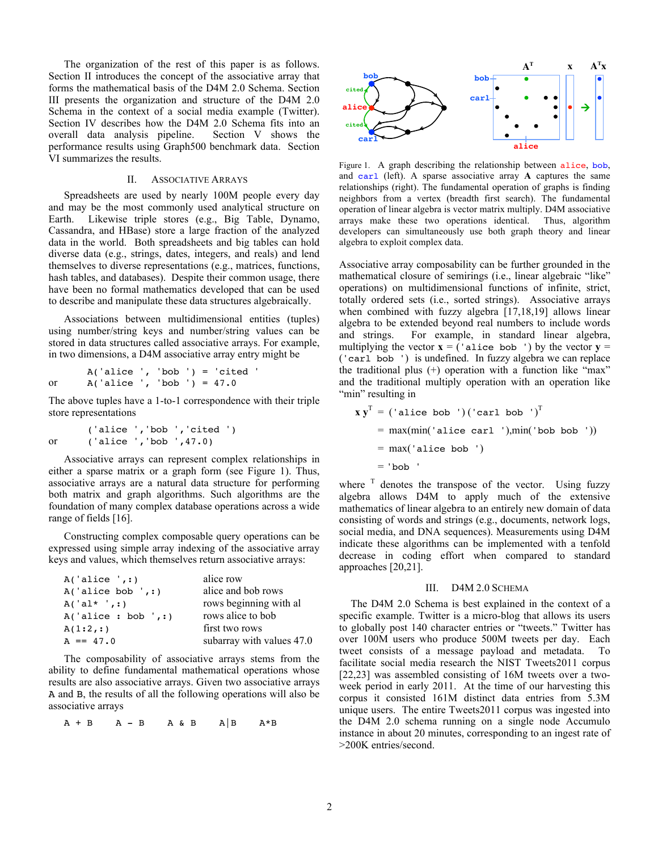The organization of the rest of this paper is as follows. Section II introduces the concept of the associative array that forms the mathematical basis of the D4M 2.0 Schema. Section III presents the organization and structure of the D4M 2.0 Schema in the context of a social media example (Twitter). Section IV describes how the D4M 2.0 Schema fits into an overall data analysis pipeline. Section V shows the performance results using Graph500 benchmark data. Section VI summarizes the results.

## II. ASSOCIATIVE ARRAYS

Spreadsheets are used by nearly 100M people every day and may be the most commonly used analytical structure on Earth. Likewise triple stores (e.g., Big Table, Dynamo, Cassandra, and HBase) store a large fraction of the analyzed data in the world. Both spreadsheets and big tables can hold diverse data (e.g., strings, dates, integers, and reals) and lend themselves to diverse representations (e.g., matrices, functions, hash tables, and databases). Despite their common usage, there have been no formal mathematics developed that can be used to describe and manipulate these data structures algebraically.

Associations between multidimensional entities (tuples) using number/string keys and number/string values can be stored in data structures called associative arrays. For example, in two dimensions, a D4M associative array entry might be

```
A('alice ', 'bob ') = 'cited 'or A('alice ', 'bob ') = 47.0
```
The above tuples have a 1-to-1 correspondence with their triple store representations

```
('alice ','bob ','cited ')
or ('alice ','bob ',47.0)
```
Associative arrays can represent complex relationships in either a sparse matrix or a graph form (see Figure 1). Thus, associative arrays are a natural data structure for performing both matrix and graph algorithms. Such algorithms are the foundation of many complex database operations across a wide range of fields [16].

Constructing complex composable query operations can be expressed using simple array indexing of the associative array keys and values, which themselves return associative arrays:

| A('alice ', : )      | alice row                 |  |  |  |
|----------------------|---------------------------|--|--|--|
| A('alice bob ', : )  | alice and bob rows        |  |  |  |
| $A('al*',:')$        | rows beginning with al    |  |  |  |
| A('alice : bob ', :) | rows alice to bob         |  |  |  |
| A(1:2,:)             | first two rows            |  |  |  |
| $A == 47.0$          | subarray with values 47.0 |  |  |  |

The composability of associative arrays stems from the ability to define fundamental mathematical operations whose results are also associative arrays. Given two associative arrays A and B, the results of all the following operations will also be associative arrays

 $A + B$   $A - B$   $A \& B$   $A|B$   $A*B$ 



Figure 1. A graph describing the relationship between alice, bob, and carl (left). A sparse associative array **A** captures the same relationships (right). The fundamental operation of graphs is finding neighbors from a vertex (breadth first search). The fundamental operation of linear algebra is vector matrix multiply. D4M associative arrays make these two operations identical. Thus, algorithm developers can simultaneously use both graph theory and linear algebra to exploit complex data.

Associative array composability can be further grounded in the mathematical closure of semirings (i.e., linear algebraic "like" operations) on multidimensional functions of infinite, strict, totally ordered sets (i.e., sorted strings). Associative arrays when combined with fuzzy algebra [17,18,19] allows linear algebra to be extended beyond real numbers to include words and strings. For example, in standard linear algebra, multiplying the vector  $\mathbf{x} = ($  'alice bob ') by the vector  $\mathbf{y} =$ ('carl bob ') is undefined. In fuzzy algebra we can replace the traditional plus (+) operation with a function like "max" and the traditional multiply operation with an operation like "min" resulting in

$$
\mathbf{x} \mathbf{y}^T = (\text{alice bob } \cdot) (\text{card bob } \cdot)^T
$$
  
= max(min('alice car1'),min('bob bob '))  
= max('alice bob ')  
= 'bob '

where  $\overline{I}$  denotes the transpose of the vector. Using fuzzy algebra allows D4M to apply much of the extensive mathematics of linear algebra to an entirely new domain of data consisting of words and strings (e.g., documents, network logs, social media, and DNA sequences). Measurements using D4M indicate these algorithms can be implemented with a tenfold decrease in coding effort when compared to standard approaches [20,21].

#### III. D4M 2.0 SCHEMA

The D4M 2.0 Schema is best explained in the context of a specific example. Twitter is a micro-blog that allows its users to globally post 140 character entries or "tweets." Twitter has over 100M users who produce 500M tweets per day. Each tweet consists of a message payload and metadata. To facilitate social media research the NIST Tweets2011 corpus [22,23] was assembled consisting of 16M tweets over a twoweek period in early 2011. At the time of our harvesting this corpus it consisted 161M distinct data entries from 5.3M unique users. The entire Tweets2011 corpus was ingested into the D4M 2.0 schema running on a single node Accumulo instance in about 20 minutes, corresponding to an ingest rate of >200K entries/second.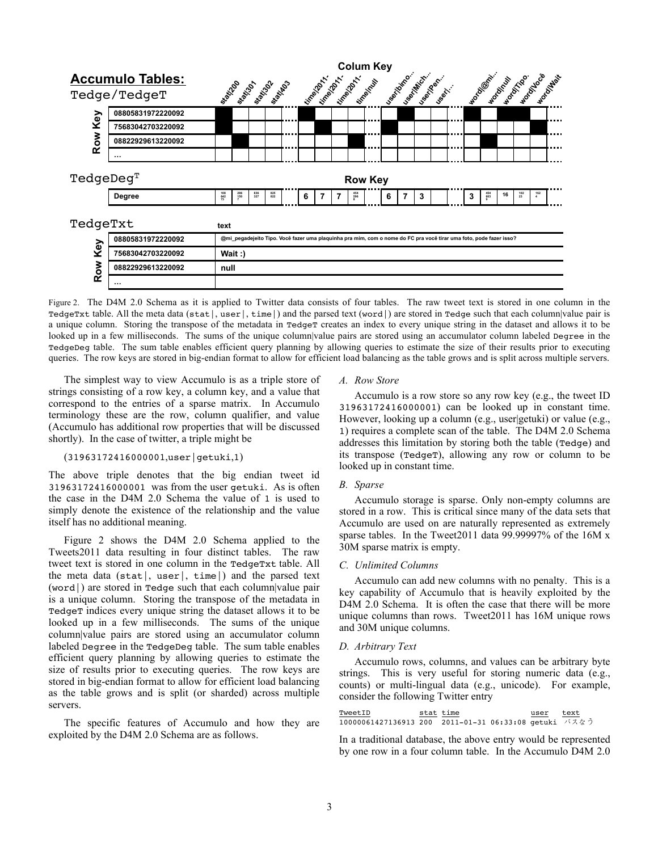

Figure 2. The D4M 2.0 Schema as it is applied to Twitter data consists of four tables. The raw tweet text is stored in one column in the TedgeTxt table. All the meta data (stat|, user|, time|) and the parsed text (word|) are stored in Tedge such that each column|value pair is a unique column. Storing the transpose of the metadata in TedgeT creates an index to every unique string in the dataset and allows it to be looked up in a few milliseconds. The sums of the unique column|value pairs are stored using an accumulator column labeled Degree in the TedgeDeg table. The sum table enables efficient query planning by allowing queries to estimate the size of their results prior to executing queries. The row keys are stored in big-endian format to allow for efficient load balancing as the table grows and is split across multiple servers.

The simplest way to view Accumulo is as a triple store of strings consisting of a row key, a column key, and a value that correspond to the entries of a sparse matrix. In Accumulo terminology these are the row, column qualifier, and value (Accumulo has additional row properties that will be discussed shortly). In the case of twitter, a triple might be

## (31963172416000001,user|getuki,1)

The above triple denotes that the big endian tweet id 31963172416000001 was from the user getuki. As is often the case in the D4M 2.0 Schema the value of 1 is used to simply denote the existence of the relationship and the value itself has no additional meaning.

Figure 2 shows the D4M 2.0 Schema applied to the Tweets2011 data resulting in four distinct tables. The raw tweet text is stored in one column in the TedgeTxt table. All the meta data (stat|, user|, time|) and the parsed text (word|) are stored in Tedge such that each column|value pair is a unique column. Storing the transpose of the metadata in TedgeT indices every unique string the dataset allows it to be looked up in a few milliseconds. The sums of the unique column|value pairs are stored using an accumulator column labeled Degree in the TedgeDeg table. The sum table enables efficient query planning by allowing queries to estimate the size of results prior to executing queries. The row keys are stored in big-endian format to allow for efficient load balancing as the table grows and is split (or sharded) across multiple servers.

The specific features of Accumulo and how they are exploited by the D4M 2.0 Schema are as follows.

#### *A. Row Store*

Accumulo is a row store so any row key (e.g., the tweet ID 31963172416000001) can be looked up in constant time. However, looking up a column (e.g., user getuki) or value (e.g., 1) requires a complete scan of the table. The D4M 2.0 Schema addresses this limitation by storing both the table (Tedge) and its transpose (TedgeT), allowing any row or column to be looked up in constant time.

#### *B. Sparse*

Accumulo storage is sparse. Only non-empty columns are stored in a row. This is critical since many of the data sets that Accumulo are used on are naturally represented as extremely sparse tables. In the Tweet2011 data 99.99997% of the 16M x 30M sparse matrix is empty.

#### *C. Unlimited Columns*

Accumulo can add new columns with no penalty. This is a key capability of Accumulo that is heavily exploited by the D4M 2.0 Schema. It is often the case that there will be more unique columns than rows. Tweet2011 has 16M unique rows and 30M unique columns.

#### *D. Arbitrary Text*

Accumulo rows, columns, and values can be arbitrary byte strings. This is very useful for storing numeric data (e.g., counts) or multi-lingual data (e.g., unicode). For example, consider the following Twitter entry

| TweetID                                               | stat time | user | text |
|-------------------------------------------------------|-----------|------|------|
| 10000061427136913 200 2011-01-31 06:33:08 qetuki バスなう |           |      |      |

In a traditional database, the above entry would be represented by one row in a four column table. In the Accumulo D4M 2.0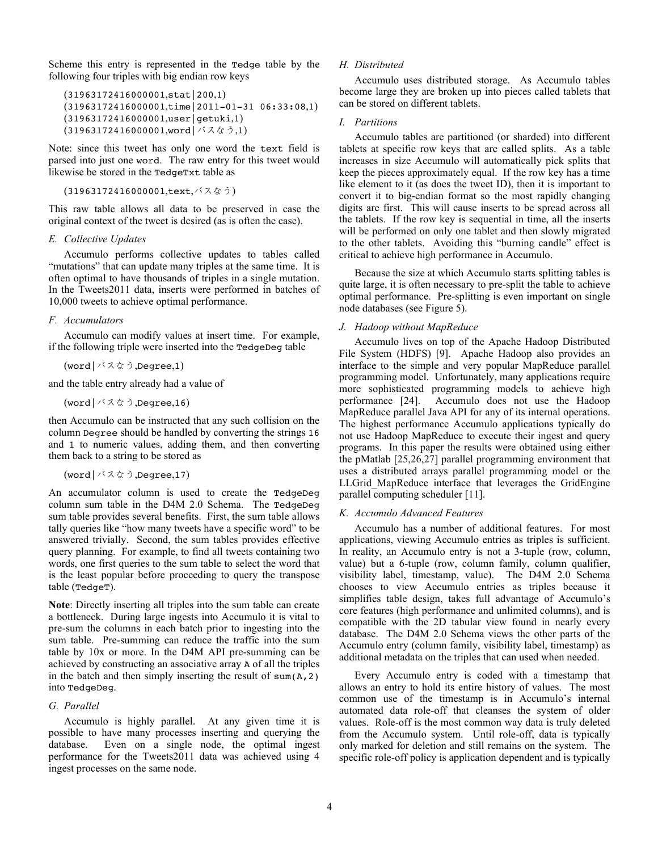Scheme this entry is represented in the Tedge table by the following four triples with big endian row keys

```
(31963172416000001,stat|200,1)
(31963172416000001,time|2011-01-31 06:33:08,1)
(31963172416000001,user|getuki,1)
(31963172416000001,word|バスなう,1)
```
Note: since this tweet has only one word the text field is parsed into just one word. The raw entry for this tweet would likewise be stored in the TedgeTxt table as

```
(31963172416000001,text,バスなう)
```
This raw table allows all data to be preserved in case the original context of the tweet is desired (as is often the case).

## *E. Collective Updates*

Accumulo performs collective updates to tables called "mutations" that can update many triples at the same time. It is often optimal to have thousands of triples in a single mutation. In the Tweets2011 data, inserts were performed in batches of 10,000 tweets to achieve optimal performance.

## *F. Accumulators*

Accumulo can modify values at insert time. For example, if the following triple were inserted into the TedgeDeg table

```
(word|バスなう,Degree,1)
```
and the table entry already had a value of

(word|バスなう,Degree,16)

then Accumulo can be instructed that any such collision on the column Degree should be handled by converting the strings 16 and 1 to numeric values, adding them, and then converting them back to a string to be stored as

```
(word|バスなう,Degree,17)
```
An accumulator column is used to create the TedgeDeg column sum table in the D4M 2.0 Schema. The TedgeDeg sum table provides several benefits. First, the sum table allows tally queries like "how many tweets have a specific word" to be answered trivially. Second, the sum tables provides effective query planning. For example, to find all tweets containing two words, one first queries to the sum table to select the word that is the least popular before proceeding to query the transpose table (TedgeT).

**Note**: Directly inserting all triples into the sum table can create a bottleneck. During large ingests into Accumulo it is vital to pre-sum the columns in each batch prior to ingesting into the sum table. Pre-summing can reduce the traffic into the sum table by 10x or more. In the D4M API pre-summing can be achieved by constructing an associative array A of all the triples in the batch and then simply inserting the result of sum $(A, 2)$ into TedgeDeg.

# *G. Parallel*

Accumulo is highly parallel. At any given time it is possible to have many processes inserting and querying the database. Even on a single node, the optimal ingest performance for the Tweets2011 data was achieved using 4 ingest processes on the same node.

## *H. Distributed*

Accumulo uses distributed storage. As Accumulo tables become large they are broken up into pieces called tablets that can be stored on different tablets.

## *I. Partitions*

Accumulo tables are partitioned (or sharded) into different tablets at specific row keys that are called splits. As a table increases in size Accumulo will automatically pick splits that keep the pieces approximately equal. If the row key has a time like element to it (as does the tweet ID), then it is important to convert it to big-endian format so the most rapidly changing digits are first. This will cause inserts to be spread across all the tablets. If the row key is sequential in time, all the inserts will be performed on only one tablet and then slowly migrated to the other tablets. Avoiding this "burning candle" effect is critical to achieve high performance in Accumulo.

Because the size at which Accumulo starts splitting tables is quite large, it is often necessary to pre-split the table to achieve optimal performance. Pre-splitting is even important on single node databases (see Figure 5).

## *J. Hadoop without MapReduce*

Accumulo lives on top of the Apache Hadoop Distributed File System (HDFS) [9]. Apache Hadoop also provides an interface to the simple and very popular MapReduce parallel programming model. Unfortunately, many applications require more sophisticated programming models to achieve high performance [24]. Accumulo does not use the Hadoop MapReduce parallel Java API for any of its internal operations. The highest performance Accumulo applications typically do not use Hadoop MapReduce to execute their ingest and query programs. In this paper the results were obtained using either the pMatlab [25,26,27] parallel programming environment that uses a distributed arrays parallel programming model or the LLGrid\_MapReduce interface that leverages the GridEngine parallel computing scheduler [11].

## *K. Accumulo Advanced Features*

Accumulo has a number of additional features. For most applications, viewing Accumulo entries as triples is sufficient. In reality, an Accumulo entry is not a 3-tuple (row, column, value) but a 6-tuple (row, column family, column qualifier, visibility label, timestamp, value). The D4M 2.0 Schema chooses to view Accumulo entries as triples because it simplifies table design, takes full advantage of Accumulo's core features (high performance and unlimited columns), and is compatible with the 2D tabular view found in nearly every database. The D4M 2.0 Schema views the other parts of the Accumulo entry (column family, visibility label, timestamp) as additional metadata on the triples that can used when needed.

Every Accumulo entry is coded with a timestamp that allows an entry to hold its entire history of values. The most common use of the timestamp is in Accumulo's internal automated data role-off that cleanses the system of older values. Role-off is the most common way data is truly deleted from the Accumulo system. Until role-off, data is typically only marked for deletion and still remains on the system. The specific role-off policy is application dependent and is typically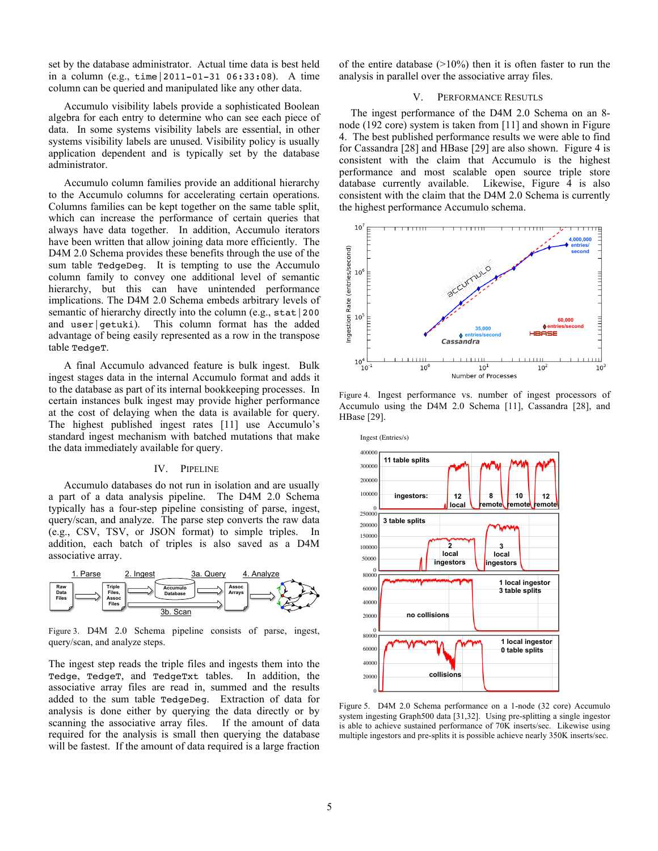set by the database administrator. Actual time data is best held in a column (e.g., time|2011-01-31 06:33:08). A time column can be queried and manipulated like any other data.

Accumulo visibility labels provide a sophisticated Boolean algebra for each entry to determine who can see each piece of data. In some systems visibility labels are essential, in other systems visibility labels are unused. Visibility policy is usually application dependent and is typically set by the database administrator.

Accumulo column families provide an additional hierarchy to the Accumulo columns for accelerating certain operations. Columns families can be kept together on the same table split, which can increase the performance of certain queries that always have data together. In addition, Accumulo iterators have been written that allow joining data more efficiently. The D4M 2.0 Schema provides these benefits through the use of the sum table TedgeDeg. It is tempting to use the Accumulo column family to convey one additional level of semantic hierarchy, but this can have unintended performance implications. The D4M 2.0 Schema embeds arbitrary levels of semantic of hierarchy directly into the column (e.g., stat | 200) and user | getuki). This column format has the added advantage of being easily represented as a row in the transpose table TedgeT.

A final Accumulo advanced feature is bulk ingest. Bulk ingest stages data in the internal Accumulo format and adds it to the database as part of its internal bookkeeping processes. In certain instances bulk ingest may provide higher performance at the cost of delaying when the data is available for query. The highest published ingest rates [11] use Accumulo's standard ingest mechanism with batched mutations that make the data immediately available for query.

#### IV. PIPELINE

Accumulo databases do not run in isolation and are usually a part of a data analysis pipeline. The D4M 2.0 Schema typically has a four-step pipeline consisting of parse, ingest, query/scan, and analyze. The parse step converts the raw data (e.g., CSV, TSV, or JSON format) to simple triples. In addition, each batch of triples is also saved as a D4M associative array.



Figure 3. D4M 2.0 Schema pipeline consists of parse, ingest, query/scan, and analyze steps.

The ingest step reads the triple files and ingests them into the Tedge, TedgeT, and TedgeTxt tables. In addition, the associative array files are read in, summed and the results added to the sum table TedgeDeg. Extraction of data for analysis is done either by querying the data directly or by scanning the associative array files. If the amount of data required for the analysis is small then querying the database will be fastest. If the amount of data required is a large fraction

of the entire database  $(>10\%)$  then it is often faster to run the analysis in parallel over the associative array files.

## V. PERFORMANCE RESUTLS

The ingest performance of the D4M 2.0 Schema on an 8 node (192 core) system is taken from [11] and shown in Figure 4. The best published performance results we were able to find for Cassandra [28] and HBase [29] are also shown. Figure 4 is consistent with the claim that Accumulo is the highest performance and most scalable open source triple store database currently available. Likewise, Figure 4 is also consistent with the claim that the D4M 2.0 Schema is currently the highest performance Accumulo schema.



Figure 4. Ingest performance vs. number of ingest processors of Accumulo using the D4M 2.0 Schema [11], Cassandra [28], and HBase [29].



Figure 5. D4M 2.0 Schema performance on a 1-node (32 core) Accumulo system ingesting Graph500 data [31,32]. Using pre-splitting a single ingestor is able to achieve sustained performance of 70K inserts/sec. Likewise using multiple ingestors and pre-splits it is possible achieve nearly 350K inserts/sec.